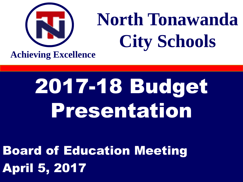

# **North Tonawanda City Schools**

#### **Achieving Excellence**

# 2017-18 Budget Presentation

Board of Education Meeting April 5, 2017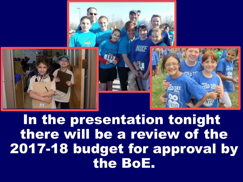



there will be a review of the 2017-18 budget for approval by the BoE.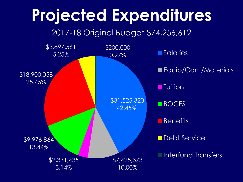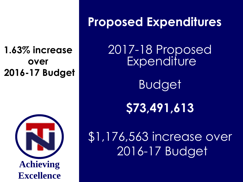#### **1.63% increase over 2016-17 Budget**



### **Proposed Expenditures**

2017-18 Proposed **Expenditure** 

Budget

**\$73,491,613**

\$1,176,563 increase over 2016-17 Budget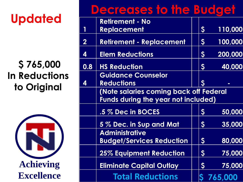## **Updated**

#### **\$ 765,000 In Reductions to Original**



### **Decreases to the Budget**

|                         | <b>Retirement - No</b>                                                               |                           |         |  |  |
|-------------------------|--------------------------------------------------------------------------------------|---------------------------|---------|--|--|
|                         | Replacement                                                                          | $\boldsymbol{\mathsf{S}}$ | 110,000 |  |  |
| $\overline{\mathbf{2}}$ | <b>Retirement - Replacement</b>                                                      | $\boldsymbol{\mathsf{S}}$ | 100,000 |  |  |
| 4                       | <b>Elem Reductions</b>                                                               | $\boldsymbol{\mathsf{S}}$ | 200,000 |  |  |
| 0.8                     | <b>HS Reduction</b>                                                                  | $\boldsymbol{\mathsf{S}}$ | 40,000  |  |  |
| 4                       | <b>Guidance Counselor</b><br><b>Reductions</b>                                       | $\boldsymbol{\mathsf{S}}$ |         |  |  |
|                         | (Note salaries coming back off Federal<br><b>Funds during the year not included)</b> |                           |         |  |  |
|                         | .5 % Dec in BOCES                                                                    | $\boldsymbol{\mathsf{S}}$ | 50,000  |  |  |
|                         | 5 % Dec. in Sup and Mat                                                              | $\boldsymbol{\varsigma}$  | 35,000  |  |  |
|                         | <b>Administrative</b><br><b>Budget/Services Reduction</b>                            | $\boldsymbol{\mathsf{S}}$ | 80,000  |  |  |
|                         | <b>25% Equipment Reduction</b>                                                       | $\boldsymbol{\zeta}$      | 75,000  |  |  |
|                         | <b>Eliminate Capital Outlay</b>                                                      | $\boldsymbol{\mathsf{S}}$ | 75,000  |  |  |
|                         | <b>Total Reductions</b>                                                              | $\mathsf{S}$              | 765,000 |  |  |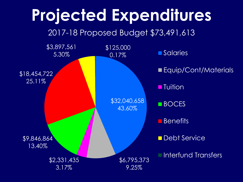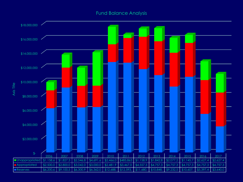#### Fund Balance Analysis

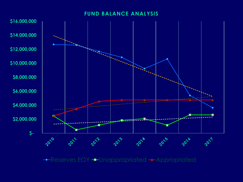

**+-Reserves EOY +-Unappropriated ++Appropriated**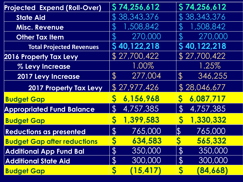| <b>Projected Expend (Roll-Over)</b> |                        | 74,256,612<br>S |                           | 74,256,612   |  |
|-------------------------------------|------------------------|-----------------|---------------------------|--------------|--|
| <b>State Aid</b>                    | $\mathfrak{P}$         | 38, 343, 376    |                           | \$38,343,376 |  |
| <b>Misc. Revenue</b>                |                        | 1,508,842       | $\boldsymbol{\varphi}$    | 1,508,842    |  |
| <b>Other Tax Item</b>               | $\boldsymbol{\varphi}$ | 270,000         | $\boldsymbol{\beta}$      | 270,000      |  |
| <b>Total Projected Revenues</b>     |                        | 40,122,218      | S                         | 40,122,218   |  |
| 2016 Property Tax Levy              |                        | \$27,700,422    |                           | \$27,700,422 |  |
| % Levy Increase                     |                        | 1.00%           |                           | 1.25%        |  |
| <b>2017 Levy Increase</b>           | $\frac{1}{2}$          | 277,004         | $\frac{1}{2}$             | 346,255      |  |
| <b>2017 Property Tax Levy</b>       |                        | \$27,977,426    |                           | \$28,046,677 |  |
| <b>Budget Gap</b>                   | S                      | 6,156,968       | S                         | 6,087,717    |  |
| <b>Appropriated Fund Balance</b>    | $\mathcal{L}$          | 4,757,385       | $\mathcal{S}$             | 4,757,385    |  |
| <b>Budget Gap</b>                   | S                      | 1,399,583       | $\boldsymbol{\mathsf{S}}$ | 1,330,332    |  |
| <b>Reductions as presented</b>      | $\mathfrak{P}$         | 765,000         | $ \mathfrak{P} $          | 765,000      |  |
| <b>Budget Gap after reductions</b>  | S                      | 634,583         | $\boldsymbol{\mathsf{S}}$ | 565,332      |  |
| <b>Additional App Fund Bal</b>      | $\boldsymbol{\beta}$   | 350,000         | $\boldsymbol{\beta}$      | 350,000      |  |
| <b>Additional State Aid</b>         |                        | 300,000         | $\mathcal{P}$             | 300,000      |  |
| <b>Budget Gap</b>                   | S                      | (15, 417)       | S                         | (84, 668)    |  |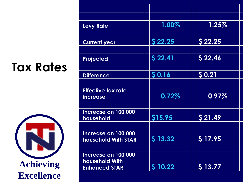# **Tax Rates**



| <b>Levy Rate</b>          | 1.00%    | 1.25%    |
|---------------------------|----------|----------|
|                           |          |          |
| <b>Current year</b>       | \$22.25  | \$22.25  |
|                           |          |          |
| Projected                 | \$22.41  | \$22.46  |
|                           |          |          |
| <b>Difference</b>         | \$0.16   | \$0.21   |
|                           |          |          |
| <b>Effective tax rate</b> |          |          |
| <b>increase</b>           | 0.72%    | $0.97\%$ |
|                           |          |          |
| Increase on 100,000       |          |          |
| household                 | \$15.95  | \$21.49  |
|                           |          |          |
| Increase on 100,000       | \$13.32  | \$17.95  |
| household With STAR       |          |          |
| Increase on 100,000       |          |          |
| household With            |          |          |
| <b>Enhanced STAR</b>      | \$ 10.22 | S 13.77  |
|                           |          |          |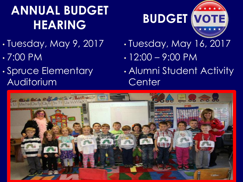# **ANNUAL BUDGET HEARING**

- Tuesday, May 9, 2017 • 7:00 PM
- Spruce Elementary Auditorium



- 
- Tuesday, May 16, 2017
- $\cdot$  12:00 9:00 PM
- Alumni Student Activity **Center**